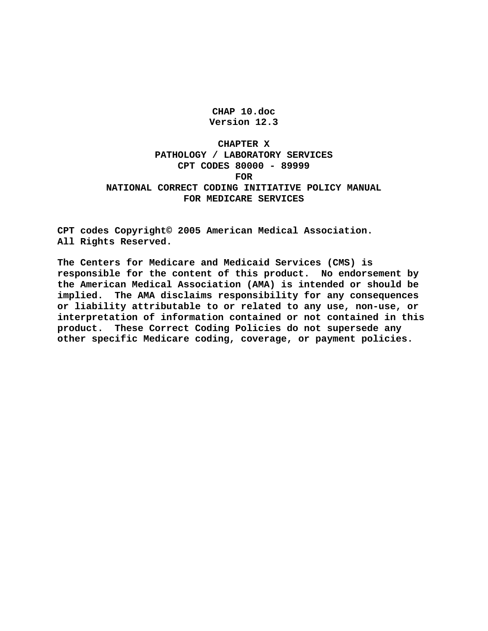**CHAP 10.doc Version 12.3**

**CHAPTER X PATHOLOGY / LABORATORY SERVICES CPT CODES 80000 - 89999 FOR NATIONAL CORRECT CODING INITIATIVE POLICY MANUAL FOR MEDICARE SERVICES** 

**CPT codes Copyright© 2005 American Medical Association. All Rights Reserved.**

**The Centers for Medicare and Medicaid Services (CMS) is responsible for the content of this product. No endorsement by the American Medical Association (AMA) is intended or should be implied. The AMA disclaims responsibility for any consequences or liability attributable to or related to any use, non-use, or interpretation of information contained or not contained in this product. These Correct Coding Policies do not supersede any other specific Medicare coding, coverage, or payment policies.**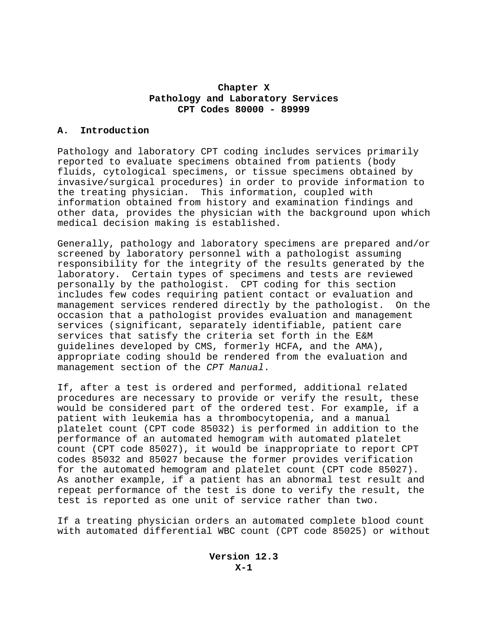# **Chapter X Pathology and Laboratory Services CPT Codes 80000 - 89999**

## **A. Introduction**

Pathology and laboratory CPT coding includes services primarily reported to evaluate specimens obtained from patients (body fluids, cytological specimens, or tissue specimens obtained by invasive/surgical procedures) in order to provide information to This information, coupled with information obtained from history and examination findings and other data, provides the physician with the background upon which medical decision making is established.

Generally, pathology and laboratory specimens are prepared and/or screened by laboratory personnel with a pathologist assuming responsibility for the integrity of the results generated by the laboratory. Certain types of specimens and tests are reviewed personally by the pathologist. CPT coding for this section includes few codes requiring patient contact or evaluation and management services rendered directly by the pathologist. On the occasion that a pathologist provides evaluation and management services (significant, separately identifiable, patient care services that satisfy the criteria set forth in the E&M guidelines developed by CMS, formerly HCFA**,** and the AMA), appropriate coding should be rendered from the evaluation and management section of the *CPT Manual*.

If, after a test is ordered and performed, additional related procedures are necessary to provide or verify the result, these would be considered part of the ordered test. For example, if a patient with leukemia has a thrombocytopenia, and a manual platelet count (CPT code 85032) is performed in addition to the performance of an automated hemogram with automated platelet count (CPT code 85027), it would be inappropriate to report CPT codes 85032 and 85027 because the former provides verification for the automated hemogram and platelet count (CPT code 85027). As another example, if a patient has an abnormal test result and repeat performance of the test is done to verify the result, the test is reported as one unit of service rather than two.

If a treating physician orders an automated complete blood count with automated differential WBC count (CPT code 85025) or without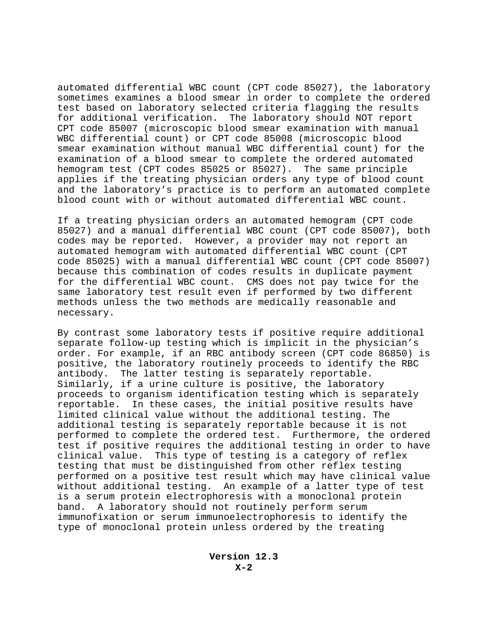automated differential WBC count (CPT code 85027), the laboratory sometimes examines a blood smear in order to complete the ordered test based on laboratory selected criteria flagging the results for additional verification. The laboratory should NOT report CPT code 85007 (microscopic blood smear examination with manual WBC differential count) or CPT code 85008 (microscopic blood smear examination without manual WBC differential count) for the examination of a blood smear to complete the ordered automated hemogram test (CPT codes 85025 or 85027). The same principle applies if the treating physician orders any type of blood count and the laboratory's practice is to perform an automated complete blood count with or without automated differential WBC count.

If a treating physician orders an automated hemogram (CPT code 85027) and a manual differential WBC count (CPT code 85007), both codes may be reported. However, a provider may not report an automated hemogram with automated differential WBC count (CPT code 85025) with a manual differential WBC count (CPT code 85007) because this combination of codes results in duplicate payment for the differential WBC count. CMS does not pay twice for the same laboratory test result even if performed by two different methods unless the two methods are medically reasonable and necessary.

By contrast some laboratory tests if positive require additional separate follow-up testing which is implicit in the physician's order. For example, if an RBC antibody screen (CPT code 86850) is positive, the laboratory routinely proceeds to identify the RBC antibody. The latter testing is separately reportable. Similarly, if a urine culture is positive, the laboratory proceeds to organism identification testing which is separately<br>reportable. In these cases, the initial positive results have In these cases, the initial positive results have limited clinical value without the additional testing. The additional testing is separately reportable because it is not performed to complete the ordered test. Furthermore, the ordered test if positive requires the additional testing in order to have clinical value. This type of testing is a category of reflex testing that must be distinguished from other reflex testing performed on a positive test result which may have clinical value without additional testing. An example of a latter type of test is a serum protein electrophoresis with a monoclonal protein band. A laboratory should not routinely perform serum immunofixation or serum immunoelectrophoresis to identify the type of monoclonal protein unless ordered by the treating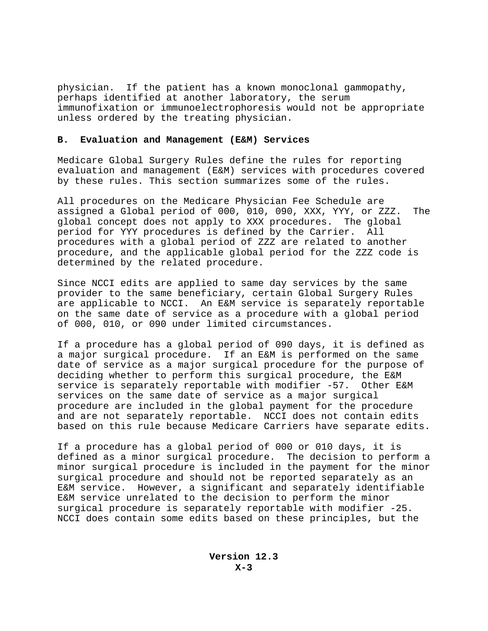physician. If the patient has a known monoclonal gammopathy, perhaps identified at another laboratory, the serum immunofixation or immunoelectrophoresis would not be appropriate unless ordered by the treating physician.

### **B. Evaluation and Management (E&M) Services**

Medicare Global Surgery Rules define the rules for reporting evaluation and management (E&M) services with procedures covered by these rules. This section summarizes some of the rules.

All procedures on the Medicare Physician Fee Schedule are assigned a Global period of 000, 010, 090, XXX, YYY, or ZZZ. The global concept does not apply to XXX procedures. The global period for YYY procedures is defined by the Carrier. All procedures with a global period of ZZZ are related to another procedure, and the applicable global period for the ZZZ code is determined by the related procedure.

Since NCCI edits are applied to same day services by the same provider to the same beneficiary, certain Global Surgery Rules are applicable to NCCI. An E&M service is separately reportable on the same date of service as a procedure with a global period of 000, 010, or 090 under limited circumstances.

If a procedure has a global period of 090 days, it is defined as a major surgical procedure. If an E&M is performed on the same date of service as a major surgical procedure for the purpose of deciding whether to perform this surgical procedure, the E&M service is separately reportable with modifier -57. Other E&M services on the same date of service as a major surgical procedure are included in the global payment for the procedure and are not separately reportable. NCCI does not contain edits based on this rule because Medicare Carriers have separate edits.

If a procedure has a global period of 000 or 010 days, it is defined as a minor surgical procedure. The decision to perform a minor surgical procedure is included in the payment for the minor surgical procedure and should not be reported separately as an E&M service. However, a significant and separately identifiable E&M service unrelated to the decision to perform the minor surgical procedure is separately reportable with modifier -25. NCCI does contain some edits based on these principles, but the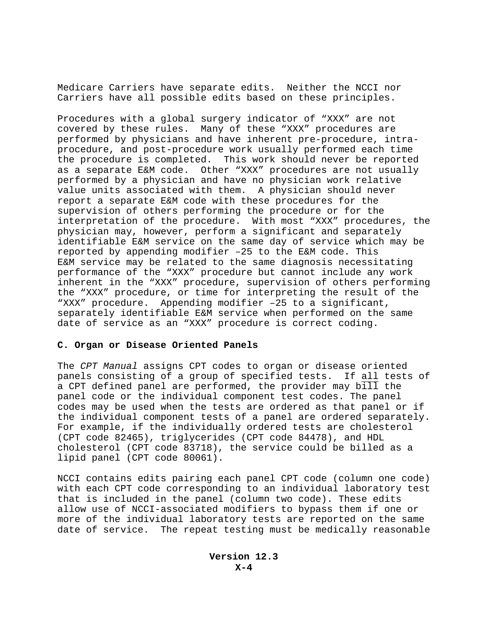Medicare Carriers have separate edits. Neither the NCCI nor Carriers have all possible edits based on these principles.

Procedures with a global surgery indicator of "XXX" are not covered by these rules. Many of these "XXX" procedures are performed by physicians and have inherent pre-procedure, intraprocedure, and post-procedure work usually performed each time the procedure is completed. This work should never be reported as a separate E&M code. Other "XXX" procedures are not usually performed by a physician and have no physician work relative value units associated with them. A physician should never report a separate E&M code with these procedures for the supervision of others performing the procedure or for the interpretation of the procedure. With most "XXX" procedures, the physician may, however, perform a significant and separately identifiable E&M service on the same day of service which may be reported by appending modifier –25 to the E&M code. This E&M service may be related to the same diagnosis necessitating performance of the "XXX" procedure but cannot include any work inherent in the "XXX" procedure, supervision of others performing the "XXX" procedure, or time for interpreting the result of the "XXX" procedure. Appending modifier –25 to a significant, separately identifiable E&M service when performed on the same date of service as an "XXX" procedure is correct coding.

#### **C. Organ or Disease Oriented Panels**

The *CPT Manual* assigns CPT codes to organ or disease oriented panels consisting of a group of specified tests. If all tests of a CPT defined panel are performed, the provider may bill the panel code or the individual component test codes. The panel codes may be used when the tests are ordered as that panel or if the individual component tests of a panel are ordered separately. For example, if the individually ordered tests are cholesterol (CPT code 82465), triglycerides (CPT code 84478), and HDL cholesterol (CPT code 83718), the service could be billed as a lipid panel (CPT code 80061).

NCCI contains edits pairing each panel CPT code (column one code) with each CPT code corresponding to an individual laboratory test that is included in the panel (column two code). These edits allow use of NCCI-associated modifiers to bypass them if one or more of the individual laboratory tests are reported on the same date of service. The repeat testing must be medically reasonable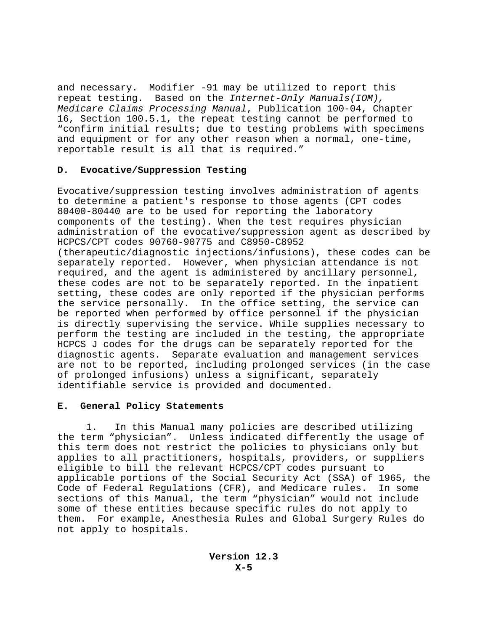and necessary. Modifier -91 may be utilized to report this repeat testing. Based on the *Internet-Only Manuals(IOM), Medicare Claims Processing Manual*, Publication 100-04, Chapter 16, Section 100.5.1, the repeat testing cannot be performed to "confirm initial results; due to testing problems with specimens and equipment or for any other reason when a normal, one-time, reportable result is all that is required."

## **D. Evocative/Suppression Testing**

Evocative/suppression testing involves administration of agents to determine a patient's response to those agents (CPT codes 80400-80440 are to be used for reporting the laboratory components of the testing). When the test requires physician administration of the evocative/suppression agent as described by HCPCS/CPT codes 90760-90775 and C8950-C8952 (therapeutic/diagnostic injections/infusions), these codes can be separately reported. However, when physician attendance is not required, and the agent is administered by ancillary personnel, these codes are not to be separately reported. In the inpatient setting, these codes are only reported if the physician performs the service personally. In the office setting, the service can be reported when performed by office personnel if the physician is directly supervising the service. While supplies necessary to perform the testing are included in the testing, the appropriate HCPCS J codes for the drugs can be separately reported for the diagnostic agents. Separate evaluation and management services are not to be reported, including prolonged services (in the case of prolonged infusions) unless a significant, separately identifiable service is provided and documented.

# **E. General Policy Statements**

1. In this Manual many policies are described utilizing the term "physician". Unless indicated differently the usage of this term does not restrict the policies to physicians only but applies to all practitioners, hospitals, providers, or suppliers eligible to bill the relevant HCPCS/CPT codes pursuant to applicable portions of the Social Security Act (SSA) of 1965, the<br>Code of Federal Regulations (CFR), and Medicare rules. In some Code of Federal Regulations (CFR), and Medicare rules. sections of this Manual, the term "physician" would not include some of these entities because specific rules do not apply to them. For example, Anesthesia Rules and Global Surgery Rules do not apply to hospitals.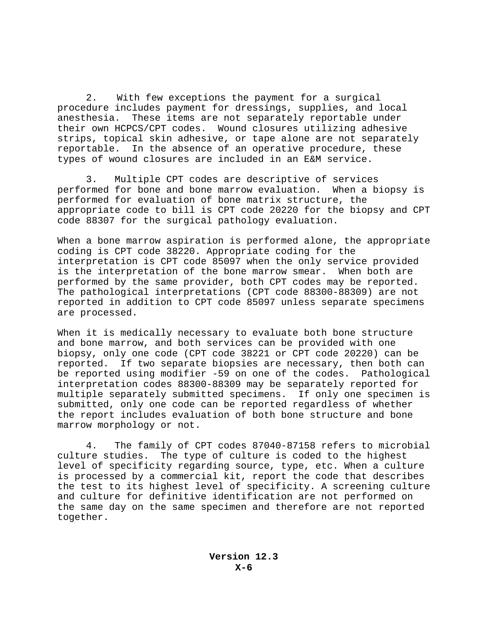2. With few exceptions the payment for a surgical procedure includes payment for dressings, supplies, and local<br>anesthesia. These items are not separately reportable under These items are not separately reportable under their own HCPCS/CPT codes. Wound closures utilizing adhesive strips, topical skin adhesive, or tape alone are not separately reportable. In the absence of an operative procedure, these types of wound closures are included in an E&M service.

3. Multiple CPT codes are descriptive of services performed for bone and bone marrow evaluation. When a biopsy is performed for evaluation of bone matrix structure, the appropriate code to bill is CPT code 20220 for the biopsy and CPT code 88307 for the surgical pathology evaluation.

When a bone marrow aspiration is performed alone, the appropriate coding is CPT code 38220. Appropriate coding for the interpretation is CPT code 85097 when the only service provided is the interpretation of the bone marrow smear. When both are performed by the same provider, both CPT codes may be reported. The pathological interpretations (CPT code 88300-88309) are not reported in addition to CPT code 85097 unless separate specimens are processed.

When it is medically necessary to evaluate both bone structure and bone marrow, and both services can be provided with one biopsy, only one code (CPT code 38221 or CPT code 20220) can be reported. If two separate biopsies are necessary, then both can be reported using modifier -59 on one of the codes. Pathological interpretation codes 88300-88309 may be separately reported for multiple separately submitted specimens. If only one specimen is submitted, only one code can be reported regardless of whether the report includes evaluation of both bone structure and bone marrow morphology or not.

4. The family of CPT codes 87040-87158 refers to microbial culture studies. The type of culture is coded to the highest level of specificity regarding source, type, etc. When a culture is processed by a commercial kit, report the code that describes the test to its highest level of specificity. A screening culture and culture for definitive identification are not performed on the same day on the same specimen and therefore are not reported together.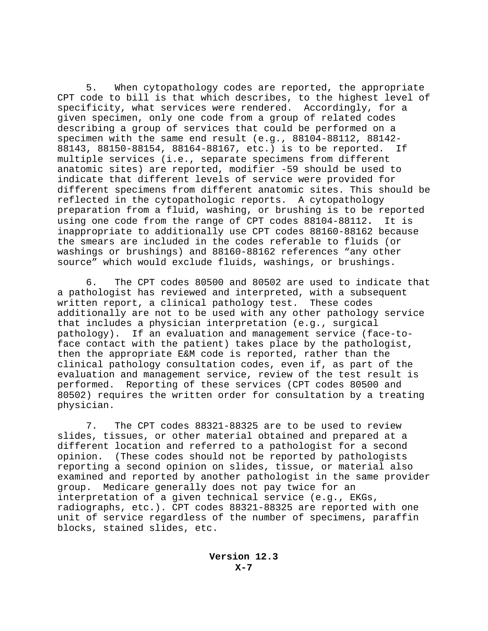5. When cytopathology codes are reported, the appropriate CPT code to bill is that which describes, to the highest level of specificity, what services were rendered. Accordingly, for a given specimen, only one code from a group of related codes describing a group of services that could be performed on a specimen with the same end result (e.g., 88104-88112, 88142-<br>88143, 88150-88154, 88164-88167, etc.) is to be reported. If 88143, 88150-88154, 88164-88167, etc.) is to be reported. multiple services (i.e., separate specimens from different anatomic sites) are reported, modifier -59 should be used to indicate that different levels of service were provided for different specimens from different anatomic sites. This should be reflected in the cytopathologic reports. A cytopathology preparation from a fluid, washing, or brushing is to be reported using one code from the range of CPT codes 88104-88112**.** It is inappropriate to additionally use CPT codes 88160-88162 because the smears are included in the codes referable to fluids (or washings or brushings) and 88160-88162 references "any other source" which would exclude fluids, washings, or brushings.

6. The CPT codes 80500 and 80502 are used to indicate that a pathologist has reviewed and interpreted, with a subsequent written report, a clinical pathology test. These codes additionally are not to be used with any other pathology service that includes a physician interpretation (e.g., surgical pathology). If an evaluation and management service (face-toface contact with the patient) takes place by the pathologist, then the appropriate E&M code is reported, rather than the clinical pathology consultation codes, even if, as part of the evaluation and management service, review of the test result is performed. Reporting of these services (CPT codes 80500 and 80502) requires the written order for consultation by a treating physician.

7. The CPT codes 88321-88325 are to be used to review slides, tissues, or other material obtained and prepared at a different location and referred to a pathologist for a second opinion. (These codes should not be reported by pathologists reporting a second opinion on slides, tissue, or material also examined and reported by another pathologist in the same provider group. Medicare generally does not pay twice for an interpretation of a given technical service (e.g., EKGs, radiographs, etc.). CPT codes 88321-88325 are reported with one unit of service regardless of the number of specimens, paraffin blocks, stained slides, etc.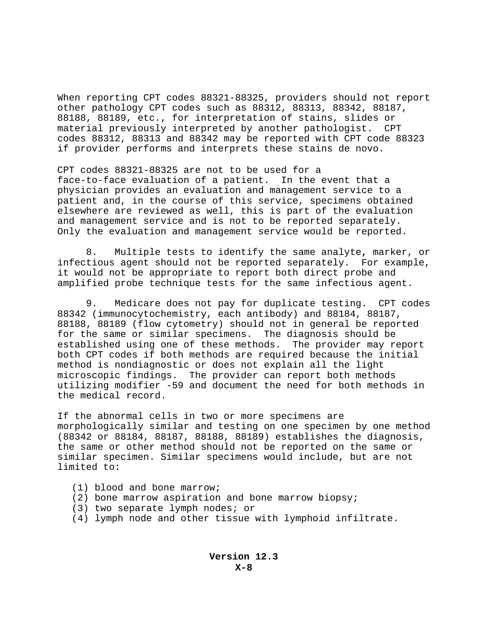When reporting CPT codes 88321-88325, providers should not report other pathology CPT codes such as 88312, 88313, 88342, 88187, 88188, 88189, etc., for interpretation of stains, slides or material previously interpreted by another pathologist. CPT codes 88312, 88313 and 88342 may be reported with CPT code 88323 if provider performs and interprets these stains de novo.

CPT codes 88321-88325 are not to be used for a face-to-face evaluation of a patient. In the event that a physician provides an evaluation and management service to a patient and, in the course of this service, specimens obtained elsewhere are reviewed as well, this is part of the evaluation and management service and is not to be reported separately. Only the evaluation and management service would be reported.

8.Multiple tests to identify the same analyte**,** marker, or infectious agent should not be reported separately. For example, it would not be appropriate to report both direct probe and amplified probe technique tests for the same infectious agent.

9. Medicare does not pay for duplicate testing. CPT codes 88342 (immunocytochemistry, each antibody) and 88184, 88187, 88188, 88189 (flow cytometry) should not in general be reported for the same or similar specimens. The diagnosis should be established using one of these methods. The provider may report both CPT codes if both methods are required because the initial method is nondiagnostic or does not explain all the light microscopic findings. The provider can report both methods utilizing modifier -59 and document the need for both methods in the medical record.

If the abnormal cells in two or more specimens are morphologically similar and testing on one specimen by one method (88342 or 88184, 88187, 88188, 88189) establishes the diagnosis, the same or other method should not be reported on the same or similar specimen. Similar specimens would include, but are not limited to:

- (1) blood and bone marrow;
- (2) bone marrow aspiration and bone marrow biopsy;
- (3) two separate lymph nodes; or
- (4) lymph node and other tissue with lymphoid infiltrate.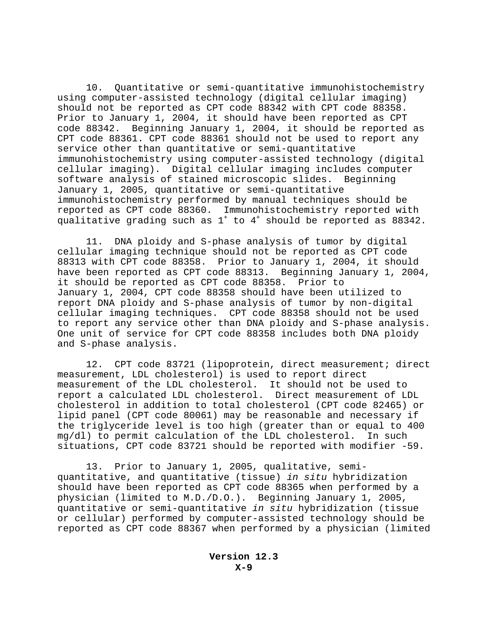10. Quantitative or semi-quantitative immunohistochemistry using computer-assisted technology (digital cellular imaging) should not be reported as CPT code 88342 with CPT code 88358. Prior to January 1, 2004, it should have been reported as CPT code 88342. Beginning January 1, 2004, it should be reported as CPT code 88361. CPT code 88361 should not be used to report any service other than quantitative or semi-quantitative immunohistochemistry using computer-assisted technology (digital cellular imaging). Digital cellular imaging includes computer software analysis of stained microscopic slides. Beginning January 1, 2005, quantitative or semi-quantitative immunohistochemistry performed by manual techniques should be reported as CPT code 88360. Immunohistochemistry reported with qualitative grading such as  $1^+$  to  $4^+$  should be reported as 88342.

11. DNA ploidy and S-phase analysis of tumor by digital cellular imaging technique should not be reported as CPT code 88313 with CPT code 88358. Prior to January 1, 2004, it should have been reported as CPT code 88313. Beginning January 1, 2004, it should be reported as CPT code 88358. Prior to January 1, 2004, CPT code 88358 should have been utilized to report DNA ploidy and S-phase analysis of tumor by non-digital cellular imaging techniques. CPT code 88358 should not be used to report any service other than DNA ploidy and S-phase analysis. One unit of service for CPT code 88358 includes both DNA ploidy and S-phase analysis.

12. CPT code 83721 (lipoprotein, direct measurement; direct measurement, LDL cholesterol) is used to report direct measurement of the LDL cholesterol. It should not be used to report a calculated LDL cholesterol. Direct measurement of LDL cholesterol in addition to total cholesterol (CPT code 82465) or lipid panel (CPT code 80061) may be reasonable and necessary if the triglyceride level is too high (greater than or equal to 400 mg/dl) to permit calculation of the LDL cholesterol. In such situations, CPT code 83721 should be reported with modifier -59.

13. Prior to January 1, 2005, qualitative, semiquantitative, and quantitative (tissue) *in situ* hybridization should have been reported as CPT code 88365 when performed by a physician (limited to M.D./D.O.). Beginning January 1, 2005, quantitative or semi-quantitative *in situ* hybridization (tissue or cellular) performed by computer-assisted technology should be reported as CPT code 88367 when performed by a physician (limited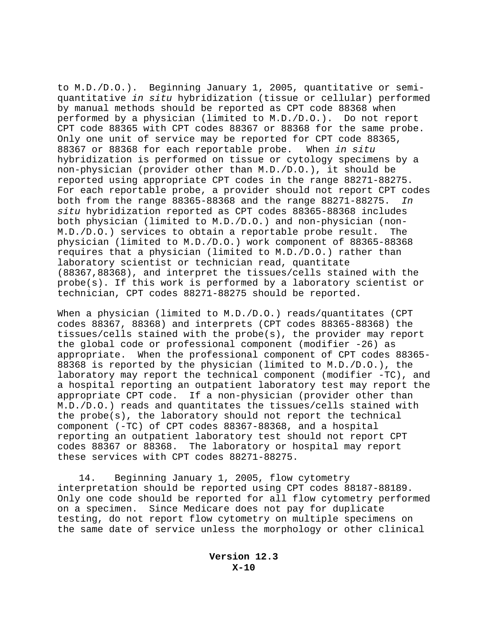to M.D./D.O.). Beginning January 1, 2005, quantitative or semiquantitative *in situ* hybridization (tissue or cellular) performed by manual methods should be reported as CPT code 88368 when performed by a physician (limited to M.D./D.O.). Do not report CPT code 88365 with CPT codes 88367 or 88368 for the same probe. Only one unit of service may be reported for CPT code 88365, 88367 or 88368 for each reportable probe. When *in situ* hybridization is performed on tissue or cytology specimens by a non-physician (provider other than M.D./D.O.), it should be reported using appropriate CPT codes in the range 88271-88275. For each reportable probe, a provider should not report CPT codes both from the range 88365-88368 and the range 88271-88275. *In situ* hybridization reported as CPT codes 88365-88368 includes both physician (limited to M.D./D.O.) and non-physician (non-<br>M.D./D.O.) services to obtain a reportable probe result. The M.D./D.O.) services to obtain a reportable probe result. physician (limited to M.D./D.O.) work component of 88365-88368 requires that a physician (limited to M.D./D.O.) rather than laboratory scientist or technician read, quantitate (88367,88368), and interpret the tissues/cells stained with the probe(s). If this work is performed by a laboratory scientist or technician, CPT codes 88271-88275 should be reported.

When a physician (limited to M.D./D.O.) reads/quantitates (CPT codes 88367, 88368) and interprets (CPT codes 88365-88368) the tissues/cells stained with the probe(s), the provider may report the global code or professional component (modifier -26) as appropriate. When the professional component of CPT codes 88365- 88368 is reported by the physician (limited to M.D./D.O.), the laboratory may report the technical component (modifier -TC), and a hospital reporting an outpatient laboratory test may report the appropriate CPT code. If a non-physician (provider other than M.D./D.O.) reads and quantitates the tissues/cells stained with the probe(s), the laboratory should not report the technical component (-TC) of CPT codes 88367-88368, and a hospital reporting an outpatient laboratory test should not report CPT codes 88367 or 88368. The laboratory or hospital may report these services with CPT codes 88271-88275.

14. Beginning January 1, 2005, flow cytometry interpretation should be reported using CPT codes 88187-88189. Only one code should be reported for all flow cytometry performed on a specimen. Since Medicare does not pay for duplicate testing, do not report flow cytometry on multiple specimens on the same date of service unless the morphology or other clinical